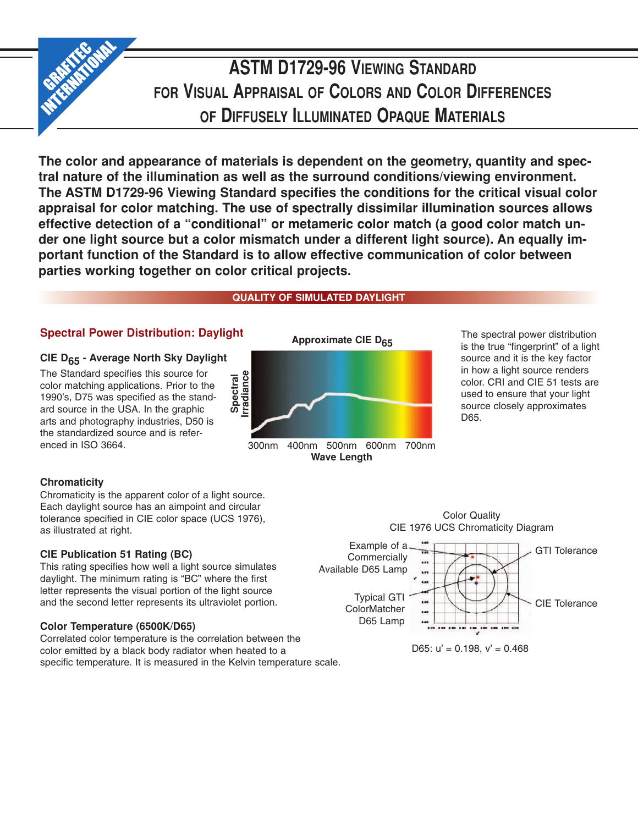

# **ASTM D1729-96 VIEWING STANDARD FOR VISUAL APPRAISAL OF COLORS AND COLOR DIFFERENCES OF DIFFUSELY ILLUMINATED OPAQUE MATERIALS**

**The color and appearance of materials is dependent on the geometry, quantity and spectral nature of the illumination as well as the surround conditions/viewing environment. The ASTM D1729-96 Viewing Standard specifies the conditions for the critical visual color appraisal for color matching. The use of spectrally dissimilar illumination sources allows effective detection of a "conditional" or metameric color match (a good color match under one light source but a color mismatch under a different light source). An equally important function of the Standard is to allow effective communication of color between parties working together on color critical projects.**

# **QUALITY OF SIMULATED DAYLIGHT**

# **Spectral Power Distribution: Daylight**

## **CIE D65 - Average North Sky Daylight**

The Standard specifies this source for color matching applications. Prior to the 1990's, D75 was specified as the standard source in the USA. In the graphic arts and photography industries, D50 is the standardized source and is referenced in ISO 3664.

## **Chromaticity**

Chromaticity is the apparent color of a light source. Each daylight source has an aimpoint and circular tolerance specified in CIE color space (UCS 1976), as illustrated at right.

#### **CIE Publication 51 Rating (BC)**

This rating specifies how well a light source simulates daylight. The minimum rating is "BC" where the first letter represents the visual portion of the light source and the second letter represents its ultraviolet portion.

## **Color Temperature (6500K/D65)**

Correlated color temperature is the correlation between the color emitted by a black body radiator when heated to a specific temperature. It is measured in the Kelvin temperature scale.



300nm 400nm 500nm 600nm 700nm **Wave Length**

**Approximate CIE D<sub>65</sub>** The spectral power distribution is the true "fingerprint" of a light source and it is the key factor in how a light source renders color. CRI and CIE 51 tests are used to ensure that your light source closely approximates D65.